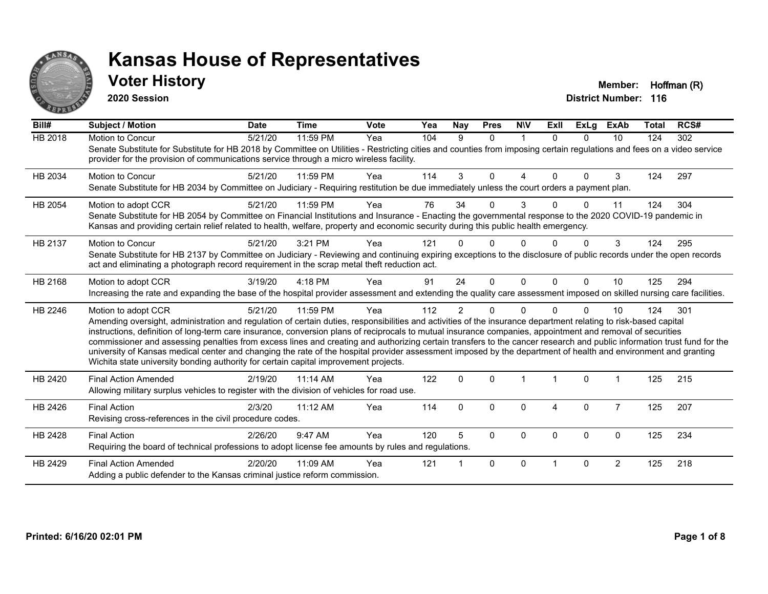

#### **Voter History Member: Hoffman (R)**

**2020 Session**

| Bill#          | Subject / Motion                                                                                                                                                                                                                                                                                                                                                                                                                                                                                                                                                                                                                                                                                                                                                                         | <b>Date</b> | <b>Time</b> | Vote | Yea | Nay            | <b>Pres</b> | <b>NIV</b>     | ExII     | <b>ExLg</b> | <b>ExAb</b>    | <b>Total</b> | RCS# |
|----------------|------------------------------------------------------------------------------------------------------------------------------------------------------------------------------------------------------------------------------------------------------------------------------------------------------------------------------------------------------------------------------------------------------------------------------------------------------------------------------------------------------------------------------------------------------------------------------------------------------------------------------------------------------------------------------------------------------------------------------------------------------------------------------------------|-------------|-------------|------|-----|----------------|-------------|----------------|----------|-------------|----------------|--------------|------|
| <b>HB 2018</b> | Motion to Concur<br>Senate Substitute for Substitute for HB 2018 by Committee on Utilities - Restricting cities and counties from imposing certain regulations and fees on a video service<br>provider for the provision of communications service through a micro wireless facility.                                                                                                                                                                                                                                                                                                                                                                                                                                                                                                    | 5/21/20     | 11:59 PM    | Yea  | 104 | 9              | $\Omega$    | $\overline{1}$ | $\Omega$ | $\Omega$    | 10             | 124          | 302  |
| HB 2034        | <b>Motion to Concur</b><br>Senate Substitute for HB 2034 by Committee on Judiciary - Requiring restitution be due immediately unless the court orders a payment plan.                                                                                                                                                                                                                                                                                                                                                                                                                                                                                                                                                                                                                    | 5/21/20     | 11:59 PM    | Yea  | 114 | 3              | $\Omega$    | 4              | $\Omega$ | $\Omega$    | 3              | 124          | 297  |
| HB 2054        | Motion to adopt CCR<br>Senate Substitute for HB 2054 by Committee on Financial Institutions and Insurance - Enacting the governmental response to the 2020 COVID-19 pandemic in<br>Kansas and providing certain relief related to health, welfare, property and economic security during this public health emergency.                                                                                                                                                                                                                                                                                                                                                                                                                                                                   | 5/21/20     | $11:59$ PM  | Yea  | 76  | 34             | 0           | 3              |          | $\Omega$    | 11             | 124          | 304  |
| HB 2137        | Motion to Concur<br>Senate Substitute for HB 2137 by Committee on Judiciary - Reviewing and continuing expiring exceptions to the disclosure of public records under the open records<br>act and eliminating a photograph record requirement in the scrap metal theft reduction act.                                                                                                                                                                                                                                                                                                                                                                                                                                                                                                     | 5/21/20     | 3:21 PM     | Yea  | 121 |                |             |                |          |             | 3              | 124          | 295  |
| HB 2168        | Motion to adopt CCR<br>Increasing the rate and expanding the base of the hospital provider assessment and extending the quality care assessment imposed on skilled nursing care facilities.                                                                                                                                                                                                                                                                                                                                                                                                                                                                                                                                                                                              | 3/19/20     | 4:18 PM     | Yea  | 91  | 24             | $\Omega$    | $\Omega$       | $\Omega$ | $\Omega$    | 10             | 125          | 294  |
| HB 2246        | Motion to adopt CCR<br>Amending oversight, administration and regulation of certain duties, responsibilities and activities of the insurance department relating to risk-based capital<br>instructions, definition of long-term care insurance, conversion plans of reciprocals to mutual insurance companies, appointment and removal of securities<br>commissioner and assessing penalties from excess lines and creating and authorizing certain transfers to the cancer research and public information trust fund for the<br>university of Kansas medical center and changing the rate of the hospital provider assessment imposed by the department of health and environment and granting<br>Wichita state university bonding authority for certain capital improvement projects. | 5/21/20     | 11:59 PM    | Yea  | 112 | $\overline{2}$ | 0           | 0              |          | $\Omega$    | 10             | 124          | 301  |
| HB 2420        | <b>Final Action Amended</b><br>Allowing military surplus vehicles to register with the division of vehicles for road use.                                                                                                                                                                                                                                                                                                                                                                                                                                                                                                                                                                                                                                                                | 2/19/20     | 11:14 AM    | Yea  | 122 | $\Omega$       | $\Omega$    |                |          | $\Omega$    |                | 125          | 215  |
| HB 2426        | <b>Final Action</b><br>Revising cross-references in the civil procedure codes.                                                                                                                                                                                                                                                                                                                                                                                                                                                                                                                                                                                                                                                                                                           | 2/3/20      | 11:12 AM    | Yea  | 114 | $\Omega$       | 0           | $\Omega$       | 4        | $\Omega$    | $\overline{7}$ | 125          | 207  |
| HB 2428        | <b>Final Action</b><br>Requiring the board of technical professions to adopt license fee amounts by rules and regulations.                                                                                                                                                                                                                                                                                                                                                                                                                                                                                                                                                                                                                                                               | 2/26/20     | 9:47 AM     | Yea  | 120 | 5              | $\Omega$    | $\Omega$       | $\Omega$ | $\Omega$    | $\Omega$       | 125          | 234  |
| HB 2429        | <b>Final Action Amended</b><br>Adding a public defender to the Kansas criminal justice reform commission.                                                                                                                                                                                                                                                                                                                                                                                                                                                                                                                                                                                                                                                                                | 2/20/20     | 11:09 AM    | Yea  | 121 |                | $\Omega$    | $\Omega$       |          | $\Omega$    | $\overline{2}$ | 125          | 218  |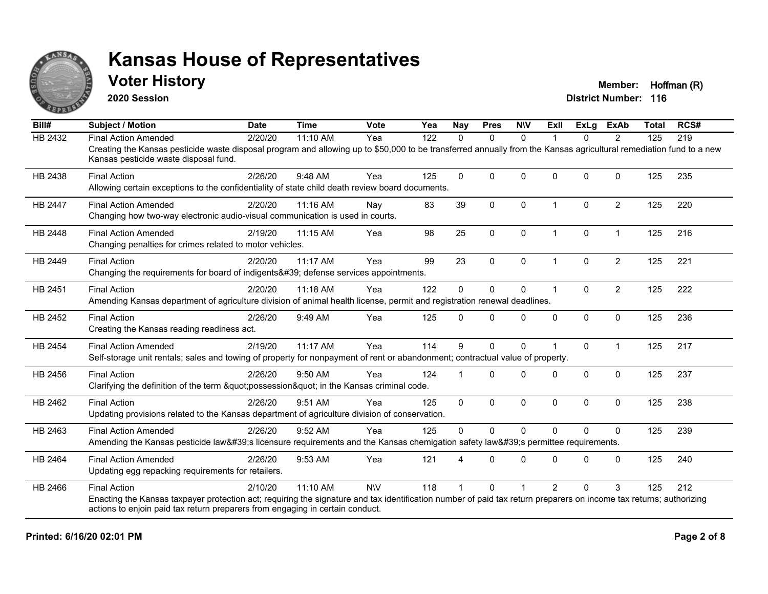

#### **Voter History Member: Hoffman (R)**

**2020 Session**

| Bill#          | <b>Subject / Motion</b>                                                                                                                                                                                     | <b>Date</b> | <b>Time</b> | <b>Vote</b> | Yea | <b>Nay</b>  | <b>Pres</b>  | <b>NIV</b>   | ExII                 | ExLg      | <b>ExAb</b>    | <b>Total</b> | RCS# |
|----------------|-------------------------------------------------------------------------------------------------------------------------------------------------------------------------------------------------------------|-------------|-------------|-------------|-----|-------------|--------------|--------------|----------------------|-----------|----------------|--------------|------|
| HB 2432        | <b>Final Action Amended</b>                                                                                                                                                                                 | 2/20/20     | 11:10 AM    | Yea         | 122 | $\Omega$    | $\mathbf{0}$ | $\Omega$     |                      | $\Omega$  | $\overline{2}$ | 125          | 219  |
|                | Creating the Kansas pesticide waste disposal program and allowing up to \$50,000 to be transferred annually from the Kansas agricultural remediation fund to a new<br>Kansas pesticide waste disposal fund. |             |             |             |     |             |              |              |                      |           |                |              |      |
| HB 2438        | <b>Final Action</b>                                                                                                                                                                                         | 2/26/20     | 9:48 AM     | Yea         | 125 | $\mathbf 0$ | $\Omega$     | $\Omega$     | $\Omega$             | $\Omega$  | $\mathbf 0$    | 125          | 235  |
|                | Allowing certain exceptions to the confidentiality of state child death review board documents.                                                                                                             |             |             |             |     |             |              |              |                      |           |                |              |      |
| <b>HB 2447</b> | <b>Final Action Amended</b>                                                                                                                                                                                 | 2/20/20     | 11:16 AM    | Nay         | 83  | 39          | $\mathbf{0}$ | $\Omega$     | $\overline{1}$       | $\Omega$  | $\overline{2}$ | 125          | 220  |
|                | Changing how two-way electronic audio-visual communication is used in courts.                                                                                                                               |             |             |             |     |             |              |              |                      |           |                |              |      |
| HB 2448        | <b>Final Action Amended</b>                                                                                                                                                                                 | 2/19/20     | 11:15 AM    | Yea         | 98  | 25          | 0            | 0            | $\overline{1}$       | $\pmb{0}$ | $\overline{1}$ | 125          | 216  |
|                | Changing penalties for crimes related to motor vehicles.                                                                                                                                                    |             |             |             |     |             |              |              |                      |           |                |              |      |
| HB 2449        | <b>Final Action</b>                                                                                                                                                                                         | 2/20/20     | $11:17$ AM  | Yea         | 99  | 23          | $\Omega$     | $\Omega$     |                      | $\Omega$  | $\overline{2}$ | 125          | 221  |
|                | Changing the requirements for board of indigents' defense services appointments.                                                                                                                            |             |             |             |     |             |              |              |                      |           |                |              |      |
| HB 2451        | <b>Final Action</b>                                                                                                                                                                                         | 2/20/20     | 11:18 AM    | Yea         | 122 | $\mathbf 0$ | $\mathbf 0$  | 0            | $\blacktriangleleft$ | $\Omega$  | $\overline{2}$ | 125          | 222  |
|                | Amending Kansas department of agriculture division of animal health license, permit and registration renewal deadlines.                                                                                     |             |             |             |     |             |              |              |                      |           |                |              |      |
| HB 2452        | <b>Final Action</b>                                                                                                                                                                                         | 2/26/20     | 9:49 AM     | Yea         | 125 | $\Omega$    | $\Omega$     | $\Omega$     | $\Omega$             | 0         | $\mathbf 0$    | 125          | 236  |
|                | Creating the Kansas reading readiness act.                                                                                                                                                                  |             |             |             |     |             |              |              |                      |           |                |              |      |
| <b>HB 2454</b> | <b>Final Action Amended</b>                                                                                                                                                                                 | 2/19/20     | 11:17 AM    | Yea         | 114 | 9           | $\Omega$     | $\mathbf{0}$ |                      | $\Omega$  | $\overline{1}$ | 125          | 217  |
|                | Self-storage unit rentals; sales and towing of property for nonpayment of rent or abandonment; contractual value of property.                                                                               |             |             |             |     |             |              |              |                      |           |                |              |      |
| HB 2456        | <b>Final Action</b>                                                                                                                                                                                         | 2/26/20     | $9:50$ AM   | Yea         | 124 |             | $\Omega$     | $\Omega$     | <sup>0</sup>         | $\Omega$  | $\Omega$       | 125          | 237  |
|                | Clarifying the definition of the term "possession" in the Kansas criminal code.                                                                                                                             |             |             |             |     |             |              |              |                      |           |                |              |      |
| HB 2462        | <b>Final Action</b>                                                                                                                                                                                         | 2/26/20     | 9:51 AM     | Yea         | 125 | $\Omega$    | $\mathbf 0$  | 0            | $\mathbf{0}$         | 0         | $\mathbf 0$    | 125          | 238  |
|                | Updating provisions related to the Kansas department of agriculture division of conservation.                                                                                                               |             |             |             |     |             |              |              |                      |           |                |              |      |
| HB 2463        | <b>Final Action Amended</b>                                                                                                                                                                                 | 2/26/20     | 9:52 AM     | Yea         | 125 | $\mathbf 0$ | $\Omega$     | $\mathbf 0$  | $\Omega$             | $\Omega$  | $\mathbf{0}$   | 125          | 239  |
|                | Amending the Kansas pesticide law's licensure requirements and the Kansas chemigation safety law's permittee requirements.                                                                                  |             |             |             |     |             |              |              |                      |           |                |              |      |
| HB 2464        | <b>Final Action Amended</b>                                                                                                                                                                                 | 2/26/20     | 9:53 AM     | Yea         | 121 | 4           | $\Omega$     | $\mathbf{0}$ | $\Omega$             | $\Omega$  | $\Omega$       | 125          | 240  |
|                | Updating egg repacking requirements for retailers.                                                                                                                                                          |             |             |             |     |             |              |              |                      |           |                |              |      |
| HB 2466        | <b>Final Action</b>                                                                                                                                                                                         | 2/10/20     | 11:10 AM    | <b>NIV</b>  | 118 |             | $\Omega$     |              | $\overline{2}$       | $\Omega$  | 3              | 125          | 212  |
|                | Enacting the Kansas taxpayer protection act; requiring the signature and tax identification number of paid tax return preparers on income tax returns; authorizing                                          |             |             |             |     |             |              |              |                      |           |                |              |      |
|                | actions to enjoin paid tax return preparers from engaging in certain conduct.                                                                                                                               |             |             |             |     |             |              |              |                      |           |                |              |      |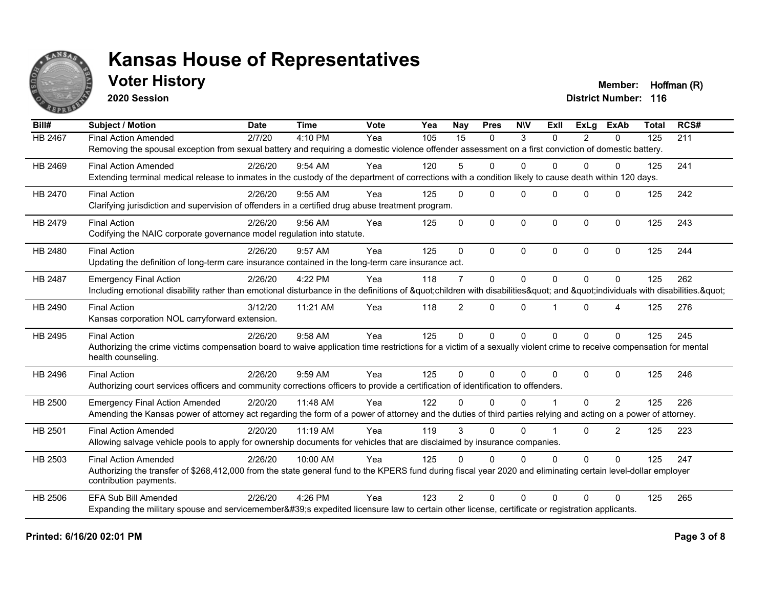

### **Voter History Member: Hoffman (R)**

**2020 Session**

| Bill#          | <b>Subject / Motion</b>                                                                                                                                             | <b>Date</b> | <b>Time</b> | Vote | $\overline{Y}$ ea | <b>Nay</b>      | <b>Pres</b>  | <b>NIV</b>  | ExII     | <b>ExLg</b>    | <b>ExAb</b>    | <b>Total</b> | RCS# |
|----------------|---------------------------------------------------------------------------------------------------------------------------------------------------------------------|-------------|-------------|------|-------------------|-----------------|--------------|-------------|----------|----------------|----------------|--------------|------|
| <b>HB 2467</b> | <b>Final Action Amended</b>                                                                                                                                         | 2/7/20      | 4:10 PM     | Yea  | 105               | $\overline{15}$ | $\mathbf{0}$ | 3           | $\Omega$ | $\overline{2}$ | $\mathbf{0}$   | 125          | 211  |
|                | Removing the spousal exception from sexual battery and requiring a domestic violence offender assessment on a first conviction of domestic battery.                 |             |             |      |                   |                 |              |             |          |                |                |              |      |
| HB 2469        | <b>Final Action Amended</b>                                                                                                                                         | 2/26/20     | 9:54 AM     | Yea  | 120               | 5               | $\Omega$     | $\Omega$    | $\Omega$ | $\Omega$       | $\Omega$       | 125          | 241  |
|                | Extending terminal medical release to inmates in the custody of the department of corrections with a condition likely to cause death within 120 days.               |             |             |      |                   |                 |              |             |          |                |                |              |      |
| HB 2470        | <b>Final Action</b>                                                                                                                                                 | 2/26/20     | 9:55 AM     | Yea  | 125               | $\Omega$        | $\mathbf{0}$ | $\Omega$    | $\Omega$ | $\mathbf 0$    | $\mathbf{0}$   | 125          | 242  |
|                | Clarifying jurisdiction and supervision of offenders in a certified drug abuse treatment program.                                                                   |             |             |      |                   |                 |              |             |          |                |                |              |      |
| HB 2479        | <b>Final Action</b>                                                                                                                                                 | 2/26/20     | $9:56$ AM   | Yea  | 125               | $\Omega$        | $\mathbf{0}$ | $\Omega$    | $\Omega$ | $\Omega$       | $\mathbf 0$    | 125          | 243  |
|                | Codifying the NAIC corporate governance model regulation into statute.                                                                                              |             |             |      |                   |                 |              |             |          |                |                |              |      |
| HB 2480        | <b>Final Action</b>                                                                                                                                                 | 2/26/20     | 9:57 AM     | Yea  | 125               | $\Omega$        | $\Omega$     | $\Omega$    | $\Omega$ | $\Omega$       | $\Omega$       | 125          | 244  |
|                | Updating the definition of long-term care insurance contained in the long-term care insurance act.                                                                  |             |             |      |                   |                 |              |             |          |                |                |              |      |
| HB 2487        | <b>Emergency Final Action</b>                                                                                                                                       | 2/26/20     | 4:22 PM     | Yea  | 118               | $\overline{7}$  | $\mathbf{0}$ | $\Omega$    | $\Omega$ | $\Omega$       | $\Omega$       | 125          | 262  |
|                | Including emotional disability rather than emotional disturbance in the definitions of "children with disabilities" and "individuals with disabilities. "           |             |             |      |                   |                 |              |             |          |                |                |              |      |
| HB 2490        | <b>Final Action</b>                                                                                                                                                 | 3/12/20     | 11:21 AM    | Yea  | 118               | $\overline{2}$  | $\mathbf{0}$ | $\Omega$    |          | $\Omega$       | 4              | 125          | 276  |
|                | Kansas corporation NOL carryforward extension.                                                                                                                      |             |             |      |                   |                 |              |             |          |                |                |              |      |
| HB 2495        | <b>Final Action</b>                                                                                                                                                 | 2/26/20     | 9:58 AM     | Yea  | 125               | $\mathbf 0$     | $\Omega$     | $\mathbf 0$ | $\Omega$ | $\Omega$       | $\mathbf 0$    | 125          | 245  |
|                | Authorizing the crime victims compensation board to waive application time restrictions for a victim of a sexually violent crime to receive compensation for mental |             |             |      |                   |                 |              |             |          |                |                |              |      |
|                | health counseling.                                                                                                                                                  |             |             |      |                   |                 |              |             |          |                |                |              |      |
| HB 2496        | <b>Final Action</b>                                                                                                                                                 | 2/26/20     | 9:59 AM     | Yea  | 125               | $\Omega$        | $\mathbf{0}$ | $\Omega$    | $\Omega$ | $\Omega$       | $\Omega$       | 125          | 246  |
|                | Authorizing court services officers and community corrections officers to provide a certification of identification to offenders.                                   |             |             |      |                   |                 |              |             |          |                |                |              |      |
| HB 2500        | <b>Emergency Final Action Amended</b>                                                                                                                               | 2/20/20     | 11:48 AM    | Yea  | 122               | <sup>0</sup>    | $\Omega$     | $\Omega$    |          | $\Omega$       | $\overline{2}$ | 125          | 226  |
|                | Amending the Kansas power of attorney act regarding the form of a power of attorney and the duties of third parties relying and acting on a power of attorney.      |             |             |      |                   |                 |              |             |          |                |                |              |      |
| HB 2501        | <b>Final Action Amended</b>                                                                                                                                         | 2/20/20     | 11:19 AM    | Yea  | 119               | 3               | $\mathbf{0}$ | $\Omega$    |          | $\Omega$       | $\overline{2}$ | 125          | 223  |
|                | Allowing salvage vehicle pools to apply for ownership documents for vehicles that are disclaimed by insurance companies.                                            |             |             |      |                   |                 |              |             |          |                |                |              |      |
| HB 2503        | <b>Final Action Amended</b>                                                                                                                                         | 2/26/20     | 10:00 AM    | Yea  | 125               | $\Omega$        | $\Omega$     | $\mathbf 0$ | $\Omega$ | $\Omega$       | $\Omega$       | 125          | 247  |
|                | Authorizing the transfer of \$268,412,000 from the state general fund to the KPERS fund during fiscal year 2020 and eliminating certain level-dollar employer       |             |             |      |                   |                 |              |             |          |                |                |              |      |
|                | contribution payments.                                                                                                                                              |             |             |      |                   |                 |              |             |          |                |                |              |      |
| HB 2506        | <b>EFA Sub Bill Amended</b>                                                                                                                                         | 2/26/20     | $4:26$ PM   | Yea  | 123               | $\mathcal{P}$   | $\Omega$     | $\Omega$    | $\Omega$ | $\Omega$       | $\Omega$       | 125          | 265  |
|                | Expanding the military spouse and servicemember's expedited licensure law to certain other license, certificate or registration applicants.                         |             |             |      |                   |                 |              |             |          |                |                |              |      |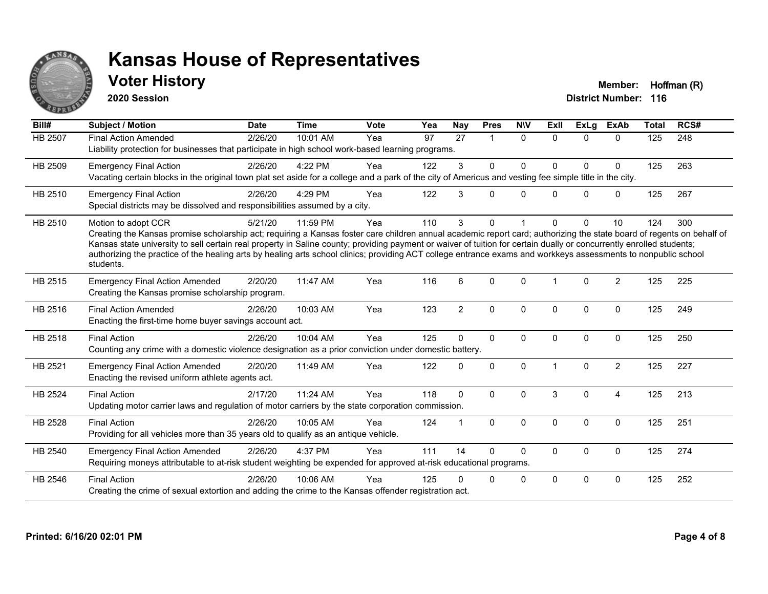

### **Voter History Member: Hoffman (R)**

**2020 Session**

| Bill#          | <b>Subject / Motion</b>                                                                                                                                                                                                                                                                                                                                                                                                                                                                                                                             | <b>Date</b> | <b>Time</b> | <b>Vote</b> | Yea | <b>Nay</b>      | <b>Pres</b>    | <b>NIV</b>   | ExII         | <b>ExLg</b>  | <b>ExAb</b>    | <b>Total</b>     | RCS# |
|----------------|-----------------------------------------------------------------------------------------------------------------------------------------------------------------------------------------------------------------------------------------------------------------------------------------------------------------------------------------------------------------------------------------------------------------------------------------------------------------------------------------------------------------------------------------------------|-------------|-------------|-------------|-----|-----------------|----------------|--------------|--------------|--------------|----------------|------------------|------|
| <b>HB 2507</b> | <b>Final Action Amended</b><br>Liability protection for businesses that participate in high school work-based learning programs.                                                                                                                                                                                                                                                                                                                                                                                                                    | 2/26/20     | 10:01 AM    | Yea         | 97  | $\overline{27}$ | $\overline{1}$ | $\Omega$     | $\Omega$     | $\Omega$     | $\Omega$       | $\overline{125}$ | 248  |
| HB 2509        | <b>Emergency Final Action</b><br>Vacating certain blocks in the original town plat set aside for a college and a park of the city of Americus and vesting fee simple title in the city.                                                                                                                                                                                                                                                                                                                                                             | 2/26/20     | 4:22 PM     | Yea         | 122 | 3               | $\Omega$       | 0            | <sup>0</sup> | $\Omega$     | $\mathbf 0$    | 125              | 263  |
| HB 2510        | <b>Emergency Final Action</b><br>Special districts may be dissolved and responsibilities assumed by a city.                                                                                                                                                                                                                                                                                                                                                                                                                                         | 2/26/20     | 4:29 PM     | Yea         | 122 | 3               | $\Omega$       | $\mathbf{0}$ | $\Omega$     | $\Omega$     | $\mathbf 0$    | 125              | 267  |
| HB 2510        | Motion to adopt CCR<br>Creating the Kansas promise scholarship act; requiring a Kansas foster care children annual academic report card; authorizing the state board of regents on behalf of<br>Kansas state university to sell certain real property in Saline county; providing payment or waiver of tuition for certain dually or concurrently enrolled students;<br>authorizing the practice of the healing arts by healing arts school clinics; providing ACT college entrance exams and workkeys assessments to nonpublic school<br>students. | 5/21/20     | 11:59 PM    | Yea         | 110 | 3               | $\Omega$       |              | <sup>0</sup> | $\Omega$     | 10             | 124              | 300  |
| HB 2515        | <b>Emergency Final Action Amended</b><br>Creating the Kansas promise scholarship program.                                                                                                                                                                                                                                                                                                                                                                                                                                                           | 2/20/20     | 11:47 AM    | Yea         | 116 | 6               | $\Omega$       | $\Omega$     |              | $\mathbf{0}$ | 2              | 125              | 225  |
| HB 2516        | <b>Final Action Amended</b><br>Enacting the first-time home buyer savings account act.                                                                                                                                                                                                                                                                                                                                                                                                                                                              | 2/26/20     | 10:03 AM    | Yea         | 123 | $\overline{2}$  | $\mathbf 0$    | 0            | $\Omega$     | 0            | $\mathbf 0$    | 125              | 249  |
| <b>HB 2518</b> | <b>Final Action</b><br>Counting any crime with a domestic violence designation as a prior conviction under domestic battery.                                                                                                                                                                                                                                                                                                                                                                                                                        | 2/26/20     | 10:04 AM    | Yea         | 125 | $\Omega$        | $\Omega$       | 0            | $\Omega$     | $\mathbf 0$  | $\mathbf 0$    | 125              | 250  |
| HB 2521        | <b>Emergency Final Action Amended</b><br>Enacting the revised uniform athlete agents act.                                                                                                                                                                                                                                                                                                                                                                                                                                                           | 2/20/20     | 11:49 AM    | Yea         | 122 | $\Omega$        | $\Omega$       | $\Omega$     |              | $\Omega$     | $\overline{2}$ | 125              | 227  |
| <b>HB 2524</b> | <b>Final Action</b><br>Updating motor carrier laws and regulation of motor carriers by the state corporation commission.                                                                                                                                                                                                                                                                                                                                                                                                                            | 2/17/20     | 11:24 AM    | Yea         | 118 | $\Omega$        | $\Omega$       | $\Omega$     | 3            | $\Omega$     | $\overline{4}$ | 125              | 213  |
| HB 2528        | <b>Final Action</b><br>Providing for all vehicles more than 35 years old to qualify as an antique vehicle.                                                                                                                                                                                                                                                                                                                                                                                                                                          | 2/26/20     | 10:05 AM    | Yea         | 124 |                 | $\mathbf{0}$   | $\Omega$     | $\Omega$     | 0            | $\mathbf 0$    | 125              | 251  |
| HB 2540        | <b>Emergency Final Action Amended</b><br>Requiring moneys attributable to at-risk student weighting be expended for approved at-risk educational programs.                                                                                                                                                                                                                                                                                                                                                                                          | 2/26/20     | 4:37 PM     | Yea         | 111 | 14              | $\Omega$       | $\mathbf 0$  | $\Omega$     | 0            | $\mathbf 0$    | 125              | 274  |
| HB 2546        | <b>Final Action</b><br>Creating the crime of sexual extortion and adding the crime to the Kansas offender registration act.                                                                                                                                                                                                                                                                                                                                                                                                                         | 2/26/20     | 10:06 AM    | Yea         | 125 | U               | $\mathbf 0$    | 0            | $\Omega$     | $\Omega$     | $\mathbf 0$    | 125              | 252  |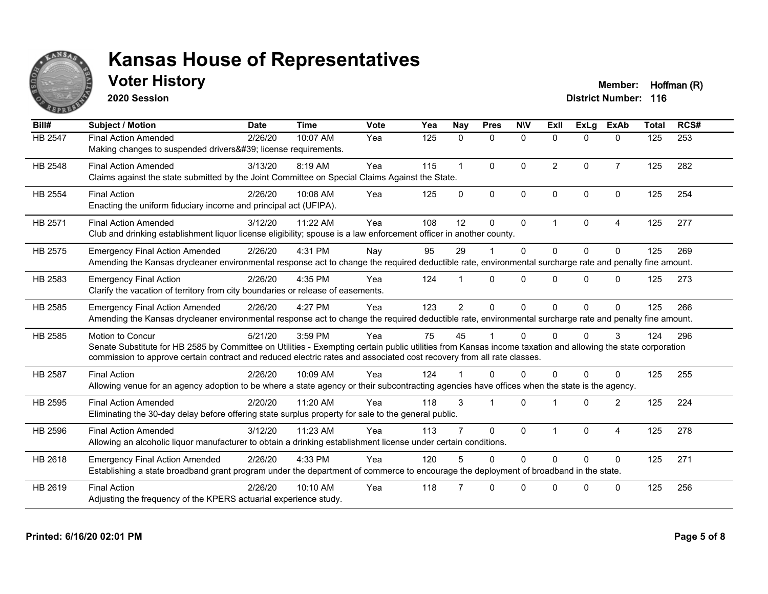

**2020 Session**

**Voter History Member: Hoffman (R)** 

| Bill#          | <b>Subject / Motion</b>                                                                                                                                                                                                                                                                                         | <b>Date</b> | <b>Time</b> | Vote | Yea | Nay            | <b>Pres</b>             | <b>NIV</b>   | ExII           | ExLa         | <b>ExAb</b>    | <b>Total</b> | RCS# |
|----------------|-----------------------------------------------------------------------------------------------------------------------------------------------------------------------------------------------------------------------------------------------------------------------------------------------------------------|-------------|-------------|------|-----|----------------|-------------------------|--------------|----------------|--------------|----------------|--------------|------|
| HB 2547        | <b>Final Action Amended</b><br>Making changes to suspended drivers' license requirements.                                                                                                                                                                                                                       | 2/26/20     | 10:07 AM    | Yea  | 125 | 0              | $\mathbf{0}$            | $\mathbf 0$  | $\Omega$       | $\mathbf{0}$ | $\mathbf{0}$   | 125          | 253  |
| HB 2548        | <b>Final Action Amended</b><br>Claims against the state submitted by the Joint Committee on Special Claims Against the State.                                                                                                                                                                                   | 3/13/20     | 8:19 AM     | Yea  | 115 |                | $\Omega$                | $\mathbf{0}$ | $\overline{2}$ | $\Omega$     | $\overline{7}$ | 125          | 282  |
| HB 2554        | <b>Final Action</b><br>Enacting the uniform fiduciary income and principal act (UFIPA).                                                                                                                                                                                                                         | 2/26/20     | 10:08 AM    | Yea  | 125 | $\Omega$       | $\mathbf{0}$            | $\Omega$     | $\Omega$       | $\Omega$     | $\Omega$       | 125          | 254  |
| HB 2571        | <b>Final Action Amended</b><br>Club and drinking establishment liquor license eligibility; spouse is a law enforcement officer in another county.                                                                                                                                                               | 3/12/20     | 11:22 AM    | Yea  | 108 | 12             | 0                       | 0            |                | $\mathbf{0}$ | 4              | 125          | 277  |
| HB 2575        | <b>Emergency Final Action Amended</b><br>Amending the Kansas drycleaner environmental response act to change the required deductible rate, environmental surcharge rate and penalty fine amount.                                                                                                                | 2/26/20     | 4:31 PM     | Nay  | 95  | 29             |                         | $\mathbf 0$  | $\Omega$       | $\Omega$     | $\Omega$       | 125          | 269  |
| HB 2583        | <b>Emergency Final Action</b><br>Clarify the vacation of territory from city boundaries or release of easements.                                                                                                                                                                                                | 2/26/20     | 4:35 PM     | Yea  | 124 |                | $\Omega$                | $\Omega$     | $\Omega$       | $\Omega$     | $\Omega$       | 125          | 273  |
| HB 2585        | <b>Emergency Final Action Amended</b><br>Amending the Kansas drycleaner environmental response act to change the required deductible rate, environmental surcharge rate and penalty fine amount.                                                                                                                | 2/26/20     | 4:27 PM     | Yea  | 123 | $\overline{2}$ | $\Omega$                | $\mathbf{0}$ | $\Omega$       | $\Omega$     | $\Omega$       | 125          | 266  |
| HB 2585        | <b>Motion to Concur</b><br>Senate Substitute for HB 2585 by Committee on Utilities - Exempting certain public utilities from Kansas income taxation and allowing the state corporation<br>commission to approve certain contract and reduced electric rates and associated cost recovery from all rate classes. | 5/21/20     | 3:59 PM     | Yea  | 75  | 45             |                         | $\Omega$     |                | $\Omega$     | 3              | 124          | 296  |
| <b>HB 2587</b> | <b>Final Action</b><br>Allowing venue for an agency adoption to be where a state agency or their subcontracting agencies have offices when the state is the agency.                                                                                                                                             | 2/26/20     | 10:09 AM    | Yea  | 124 |                | $\Omega$                | $\Omega$     | U              | $\Omega$     | $\Omega$       | 125          | 255  |
| HB 2595        | <b>Final Action Amended</b><br>Eliminating the 30-day delay before offering state surplus property for sale to the general public.                                                                                                                                                                              | 2/20/20     | 11:20 AM    | Yea  | 118 | 3              | $\overline{\mathbf{1}}$ | $\Omega$     |                | $\Omega$     | 2              | 125          | 224  |
| HB 2596        | <b>Final Action Amended</b><br>Allowing an alcoholic liquor manufacturer to obtain a drinking establishment license under certain conditions.                                                                                                                                                                   | 3/12/20     | 11:23 AM    | Yea  | 113 |                | $\Omega$                | $\Omega$     |                | $\Omega$     | $\overline{4}$ | 125          | 278  |
| HB 2618        | <b>Emergency Final Action Amended</b><br>Establishing a state broadband grant program under the department of commerce to encourage the deployment of broadband in the state.                                                                                                                                   | 2/26/20     | 4:33 PM     | Yea  | 120 | 5              | $\Omega$                | $\mathbf{0}$ | $\Omega$       | $\Omega$     | $\Omega$       | 125          | 271  |
| HB 2619        | <b>Final Action</b><br>Adjusting the frequency of the KPERS actuarial experience study.                                                                                                                                                                                                                         | 2/26/20     | 10:10 AM    | Yea  | 118 |                | $\Omega$                | $\Omega$     | $\Omega$       | $\Omega$     | $\mathbf{0}$   | 125          | 256  |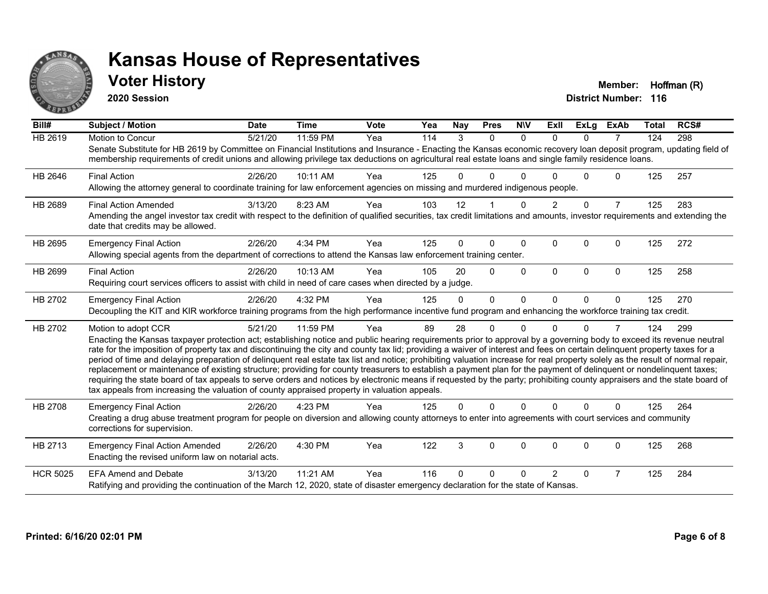

#### **Voter History Member: Hoffman (R)**

**2020 Session**

| Bill#           | <b>Subject / Motion</b>                                                                                                                                                                                                                                                                                                                                                                                                                                                                                                                                                                                                                                                                                                                                                                                                                                                                                                                                                                                       | <b>Date</b> | <b>Time</b> | <b>Vote</b> | Yea | <b>Nay</b> | <b>Pres</b> | <b>NIV</b> | ExII           | ExLa     | <b>ExAb</b>    | <b>Total</b> | RCS# |
|-----------------|---------------------------------------------------------------------------------------------------------------------------------------------------------------------------------------------------------------------------------------------------------------------------------------------------------------------------------------------------------------------------------------------------------------------------------------------------------------------------------------------------------------------------------------------------------------------------------------------------------------------------------------------------------------------------------------------------------------------------------------------------------------------------------------------------------------------------------------------------------------------------------------------------------------------------------------------------------------------------------------------------------------|-------------|-------------|-------------|-----|------------|-------------|------------|----------------|----------|----------------|--------------|------|
| <b>HB 2619</b>  | Motion to Concur<br>Senate Substitute for HB 2619 by Committee on Financial Institutions and Insurance - Enacting the Kansas economic recovery loan deposit program, updating field of<br>membership requirements of credit unions and allowing privilege tax deductions on agricultural real estate loans and single family residence loans.                                                                                                                                                                                                                                                                                                                                                                                                                                                                                                                                                                                                                                                                 | 5/21/20     | 11:59 PM    | Yea         | 114 | 3          | $\Omega$    | $\Omega$   | $\Omega$       | $\Omega$ | 7              | 124          | 298  |
| HB 2646         | <b>Final Action</b><br>Allowing the attorney general to coordinate training for law enforcement agencies on missing and murdered indigenous people.                                                                                                                                                                                                                                                                                                                                                                                                                                                                                                                                                                                                                                                                                                                                                                                                                                                           | 2/26/20     | 10:11 AM    | Yea         | 125 | O.         | $\Omega$    |            |                | U        | $\Omega$       | 125          | 257  |
| HB 2689         | <b>Final Action Amended</b><br>Amending the angel investor tax credit with respect to the definition of qualified securities, tax credit limitations and amounts, investor requirements and extending the<br>date that credits may be allowed.                                                                                                                                                                                                                                                                                                                                                                                                                                                                                                                                                                                                                                                                                                                                                                | 3/13/20     | 8:23 AM     | Yea         | 103 | 12         |             | $\Omega$   | $\overline{2}$ | $\Omega$ | $\overline{7}$ | 125          | 283  |
| HB 2695         | <b>Emergency Final Action</b><br>Allowing special agents from the department of corrections to attend the Kansas law enforcement training center.                                                                                                                                                                                                                                                                                                                                                                                                                                                                                                                                                                                                                                                                                                                                                                                                                                                             | 2/26/20     | 4:34 PM     | Yea         | 125 | 0          | 0           | $\Omega$   | 0              | $\Omega$ | $\Omega$       | 125          | 272  |
| HB 2699         | <b>Final Action</b><br>Requiring court services officers to assist with child in need of care cases when directed by a judge.                                                                                                                                                                                                                                                                                                                                                                                                                                                                                                                                                                                                                                                                                                                                                                                                                                                                                 | 2/26/20     | 10:13 AM    | Yea         | 105 | 20         | $\Omega$    | $\Omega$   | $\Omega$       | $\Omega$ | $\mathbf{0}$   | 125          | 258  |
| HB 2702         | <b>Emergency Final Action</b><br>Decoupling the KIT and KIR workforce training programs from the high performance incentive fund program and enhancing the workforce training tax credit.                                                                                                                                                                                                                                                                                                                                                                                                                                                                                                                                                                                                                                                                                                                                                                                                                     | 2/26/20     | 4:32 PM     | Yea         | 125 | 0          | $\Omega$    | $\Omega$   | $\Omega$       | $\Omega$ | $\Omega$       | 125          | 270  |
| HB 2702         | Motion to adopt CCR<br>Enacting the Kansas taxpayer protection act; establishing notice and public hearing requirements prior to approval by a governing body to exceed its revenue neutral<br>rate for the imposition of property tax and discontinuing the city and county tax lid; providing a waiver of interest and fees on certain delinquent property taxes for a<br>period of time and delaying preparation of delinquent real estate tax list and notice; prohibiting valuation increase for real property solely as the result of normal repair,<br>replacement or maintenance of existing structure; providing for county treasurers to establish a payment plan for the payment of delinquent or nondelinquent taxes;<br>requiring the state board of tax appeals to serve orders and notices by electronic means if requested by the party; prohibiting county appraisers and the state board of<br>tax appeals from increasing the valuation of county appraised property in valuation appeals. | 5/21/20     | 11:59 PM    | Yea         | 89  | 28         | 0           | $\Omega$   |                | $\Omega$ | 7              | 124          | 299  |
| HB 2708         | <b>Emergency Final Action</b><br>Creating a drug abuse treatment program for people on diversion and allowing county attorneys to enter into agreements with court services and community<br>corrections for supervision.                                                                                                                                                                                                                                                                                                                                                                                                                                                                                                                                                                                                                                                                                                                                                                                     | 2/26/20     | 4:23 PM     | Yea         | 125 | 0          | $\Omega$    | $\Omega$   | $\Omega$       | $\Omega$ | $\Omega$       | 125          | 264  |
| HB 2713         | <b>Emergency Final Action Amended</b><br>Enacting the revised uniform law on notarial acts.                                                                                                                                                                                                                                                                                                                                                                                                                                                                                                                                                                                                                                                                                                                                                                                                                                                                                                                   | 2/26/20     | 4:30 PM     | Yea         | 122 | 3          | $\Omega$    | $\Omega$   | $\Omega$       | $\Omega$ | $\Omega$       | 125          | 268  |
| <b>HCR 5025</b> | <b>EFA Amend and Debate</b><br>Ratifying and providing the continuation of the March 12, 2020, state of disaster emergency declaration for the state of Kansas.                                                                                                                                                                                                                                                                                                                                                                                                                                                                                                                                                                                                                                                                                                                                                                                                                                               | 3/13/20     | 11:21 AM    | Yea         | 116 | U          | 0           | ∩          | 2              | 0        | 7              | 125          | 284  |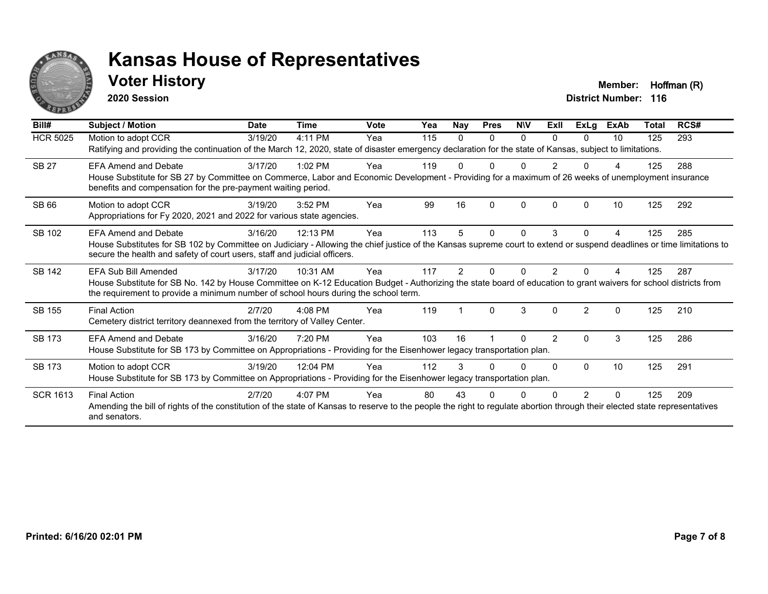

#### **Voter History Member: Hoffman (R)**

**2020 Session**

| Bill#           | Subject / Motion                                                                                                                                                                                                                                                                  | <b>Date</b> | <b>Time</b> | <b>Vote</b> | Yea | <b>Nay</b> | <b>Pres</b> | <b>NIV</b> | ExII           | <b>ExLg</b>    | <b>ExAb</b> | Total | RCS# |
|-----------------|-----------------------------------------------------------------------------------------------------------------------------------------------------------------------------------------------------------------------------------------------------------------------------------|-------------|-------------|-------------|-----|------------|-------------|------------|----------------|----------------|-------------|-------|------|
| <b>HCR 5025</b> | Motion to adopt CCR<br>Ratifying and providing the continuation of the March 12, 2020, state of disaster emergency declaration for the state of Kansas, subject to limitations.                                                                                                   | 3/19/20     | 4:11 PM     | Yea         | 115 | 0          | 0           | 0          | $\Omega$       | $\Omega$       | 10          | 125   | 293  |
| <b>SB 27</b>    | <b>EFA Amend and Debate</b><br>House Substitute for SB 27 by Committee on Commerce, Labor and Economic Development - Providing for a maximum of 26 weeks of unemployment insurance<br>benefits and compensation for the pre-payment waiting period.                               | 3/17/20     | $1:02$ PM   | Yea         | 119 |            | 0           | U          |                | <sup>0</sup>   |             | 125   | 288  |
| <b>SB 66</b>    | Motion to adopt CCR<br>Appropriations for Fy 2020, 2021 and 2022 for various state agencies.                                                                                                                                                                                      | 3/19/20     | 3:52 PM     | Yea         | 99  | 16         | $\Omega$    | $\Omega$   | 0              | 0              | 10          | 125   | 292  |
| SB 102          | <b>EFA Amend and Debate</b><br>House Substitutes for SB 102 by Committee on Judiciary - Allowing the chief justice of the Kansas supreme court to extend or suspend deadlines or time limitations to<br>secure the health and safety of court users, staff and judicial officers. | 3/16/20     | 12:13 PM    | Yea         | 113 | 5          | 0           | $\Omega$   | 3              | $\Omega$       | 4           | 125   | 285  |
| SB 142          | EFA Sub Bill Amended<br>House Substitute for SB No. 142 by House Committee on K-12 Education Budget - Authorizing the state board of education to grant waivers for school districts from<br>the requirement to provide a minimum number of school hours during the school term.  | 3/17/20     | 10:31 AM    | Yea         | 117 | 2          | ŋ           | 0          | 2              |                |             | 125   | 287  |
| SB 155          | <b>Final Action</b><br>Cemetery district territory deannexed from the territory of Valley Center.                                                                                                                                                                                 | 2/7/20      | 4:08 PM     | Yea         | 119 |            | $\Omega$    | 3          | $\Omega$       | $\overline{2}$ | $\Omega$    | 125   | 210  |
| SB 173          | <b>EFA Amend and Debate</b><br>House Substitute for SB 173 by Committee on Appropriations - Providing for the Eisenhower legacy transportation plan.                                                                                                                              | 3/16/20     | 7:20 PM     | Yea         | 103 | 16         |             | $\Omega$   | $\overline{2}$ | $\mathbf{0}$   | 3           | 125   | 286  |
| <b>SB 173</b>   | Motion to adopt CCR<br>House Substitute for SB 173 by Committee on Appropriations - Providing for the Eisenhower legacy transportation plan.                                                                                                                                      | 3/19/20     | 12:04 PM    | Yea         | 112 | 3          |             | U          | <sup>0</sup>   | $\Omega$       | 10          | 125   | 291  |
| <b>SCR 1613</b> | <b>Final Action</b><br>Amending the bill of rights of the constitution of the state of Kansas to reserve to the people the right to regulate abortion through their elected state representatives<br>and senators.                                                                | 2/7/20      | 4:07 PM     | Yea         | 80  | 43         |             |            |                |                |             | 125   | 209  |